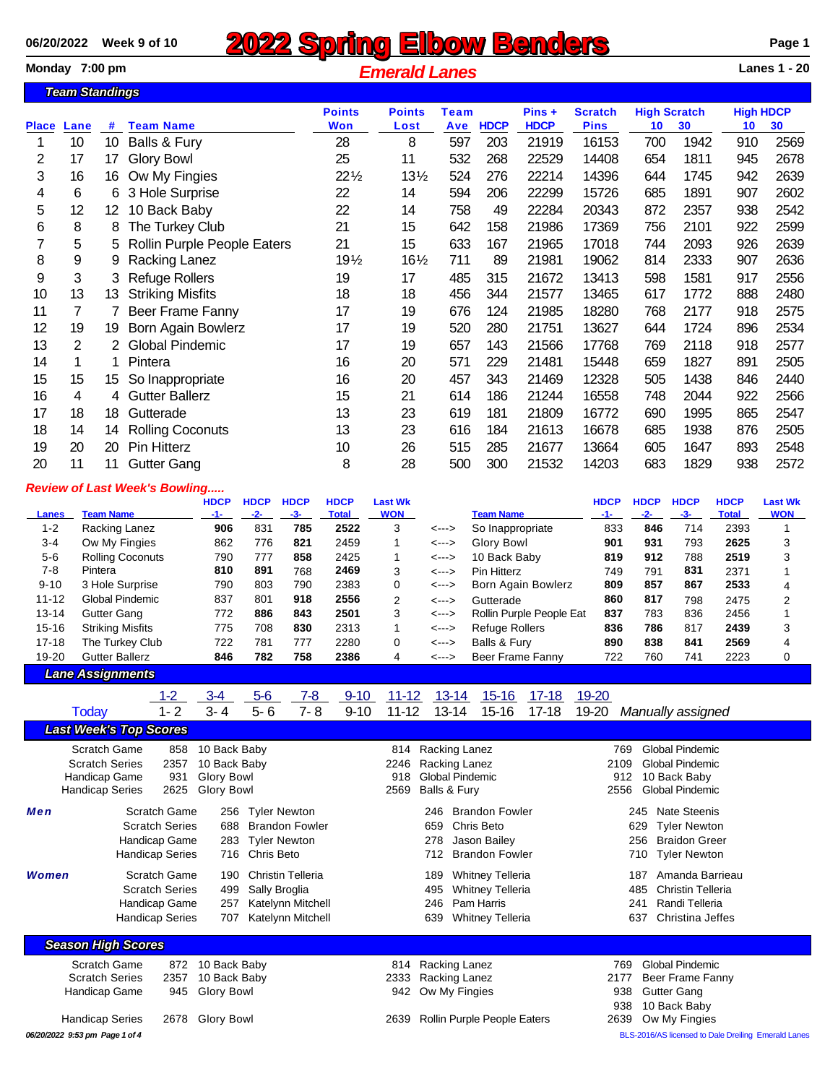## **2022 Spring Elbow Benders** Page 1 Page 1<br>Monday 7:00 pm **Page 1 Page 1** *Emerald Lanes Emerald Lanes* **1** *Lanes* **1 - 20**  $E$ *Merald Lanes*

|              | <u>Team Standings</u> |     |                             |                 |                 |             |             |             |                |                     |      |                  |      |
|--------------|-----------------------|-----|-----------------------------|-----------------|-----------------|-------------|-------------|-------------|----------------|---------------------|------|------------------|------|
|              |                       |     |                             | <b>Points</b>   | <b>Points</b>   | <b>Team</b> |             | $Pins +$    | <b>Scratch</b> | <b>High Scratch</b> |      | <b>High HDCP</b> |      |
| <b>Place</b> | Lane                  | #   | <b>Team Name</b>            | <b>Won</b>      | Lost            | Ave         | <b>HDCP</b> | <b>HDCP</b> | <b>Pins</b>    | 10                  | 30   | 10               | 30   |
|              | 10                    | 10  | Balls & Fury                | 28              | 8               | 597         | 203         | 21919       | 16153          | 700                 | 1942 | 910              | 2569 |
| 2            | 17                    | 17  | <b>Glory Bowl</b>           | 25              | 11              | 532         | 268         | 22529       | 14408          | 654                 | 1811 | 945              | 2678 |
| 3            | 16                    | 16  | Ow My Fingies               | $22\frac{1}{2}$ | $13\frac{1}{2}$ | 524         | 276         | 22214       | 14396          | 644                 | 1745 | 942              | 2639 |
| 4            | 6                     | 6   | 3 Hole Surprise             | 22              | 14              | 594         | 206         | 22299       | 15726          | 685                 | 1891 | 907              | 2602 |
| 5            | 12                    | 12. | 10 Back Baby                | 22              | 14              | 758         | 49          | 22284       | 20343          | 872                 | 2357 | 938              | 2542 |
| 6            | 8                     | 8   | The Turkey Club             | 21              | 15              | 642         | 158         | 21986       | 17369          | 756                 | 2101 | 922              | 2599 |
|              | 5                     | 5   | Rollin Purple People Eaters | 21              | 15              | 633         | 167         | 21965       | 17018          | 744                 | 2093 | 926              | 2639 |
| 8            | 9                     |     | Racking Lanez               | $19\frac{1}{2}$ | $16\frac{1}{2}$ | 711         | 89          | 21981       | 19062          | 814                 | 2333 | 907              | 2636 |
| 9            | 3                     | 3.  | <b>Refuge Rollers</b>       | 19              | 17              | 485         | 315         | 21672       | 13413          | 598                 | 1581 | 917              | 2556 |
| 10           | 13                    | 13  | <b>Striking Misfits</b>     | 18              | 18              | 456         | 344         | 21577       | 13465          | 617                 | 1772 | 888              | 2480 |
| 11           | 7                     |     | Beer Frame Fanny            | 17              | 19              | 676         | 124         | 21985       | 18280          | 768                 | 2177 | 918              | 2575 |
| 12           | 19                    | 19  | Born Again Bowlerz          | 17              | 19              | 520         | 280         | 21751       | 13627          | 644                 | 1724 | 896              | 2534 |
| 13           | 2                     | 2   | <b>Global Pindemic</b>      | 17              | 19              | 657         | 143         | 21566       | 17768          | 769                 | 2118 | 918              | 2577 |
| 14           |                       |     | Pintera                     | 16              | 20              | 571         | 229         | 21481       | 15448          | 659                 | 1827 | 891              | 2505 |
| 15           | 15                    | 15  | So Inappropriate            | 16              | 20              | 457         | 343         | 21469       | 12328          | 505                 | 1438 | 846              | 2440 |
| 16           | 4                     | 4   | <b>Gutter Ballerz</b>       | 15              | 21              | 614         | 186         | 21244       | 16558          | 748                 | 2044 | 922              | 2566 |
| 17           | 18                    | 18  | Gutterade                   | 13              | 23              | 619         | 181         | 21809       | 16772          | 690                 | 1995 | 865              | 2547 |
| 18           | 14                    | 14  | <b>Rolling Coconuts</b>     | 13              | 23              | 616         | 184         | 21613       | 16678          | 685                 | 1938 | 876              | 2505 |
| 19           | 20                    | 20  | Pin Hitterz                 | 10              | 26              | 515         | 285         | 21677       | 13664          | 605                 | 1647 | 893              | 2548 |
| 20           | 11                    | 11  | <b>Gutter Gang</b>          | 8               | 28              | 500         | 300         | 21532       | 14203          | 683                 | 1829 | 938              | 2572 |

## *Review of Last Week's Bowling.....*

|              |                         | <b>HDCP</b> | <b>HDCP</b> | <b>HDCP</b> | <b>HDCP</b>  | <b>Last Wk</b> |       |                          | <b>HDCP</b> | <b>HDCP</b> | <b>HDCP</b> | <b>HDCP</b>  | <b>Last Wk</b> |
|--------------|-------------------------|-------------|-------------|-------------|--------------|----------------|-------|--------------------------|-------------|-------------|-------------|--------------|----------------|
| <b>Lanes</b> | <b>Team Name</b>        |             | $-2-$       | $-3-$       | <b>Total</b> | <b>WON</b>     |       | <b>Team Name</b>         |             |             |             | <b>Total</b> | <b>WON</b>     |
| $1 - 2$      | Racking Lanez           | 906         | 831         | 785         | 2522         | 3              | <---> | So Inappropriate         | 833         | 846         | 714         | 2393         |                |
| $3 - 4$      | Ow My Fingies           | 862         | 776         | 821         | 2459         |                | <---> | Glory Bowl               | 901         | 931         | 793         | 2625         |                |
| $5-6$        | <b>Rolling Coconuts</b> | 790         | 777         | 858         | 2425         |                | <---> | 10 Back Baby             | 819         | 912         | 788         | 2519         |                |
| 7-8          | Pintera                 | 810         | 891         | 768         | 2469         | 3              | <---> | Pin Hitterz              | 749         | 791         | 831         | 2371         |                |
| $9 - 10$     | 3 Hole Surprise         | 790         | 803         | 790         | 2383         | 0              | <---> | Born Again Bowlerz       | 809         | 857         | 867         | 2533         | 4              |
| $11 - 12$    | Global Pindemic         | 837         | 801         | 918         | 2556         | 2              | <---> | Gutterade                | 860         | 817         | 798         | 2475         | 2              |
| 13-14        | Gutter Gang             | 772         | 886         | 843         | 2501         | 3              | <---> | Rollin Purple People Eat | 837         | 783         | 836         | 2456         |                |
| $15 - 16$    | <b>Striking Misfits</b> | 775         | 708         | 830         | 2313         |                | <---> | Refuge Rollers           | 836         | 786         | 817         | 2439         |                |
| $17 - 18$    | The Turkey Club         | 722         | 781         | 777         | 2280         | 0              | <---> | Balls & Fury             | 890         | 838         | 841         | 2569         |                |
| 19-20        | <b>Gutter Ballerz</b>   | 846         | 782         | 758         | 2386         | 4              | <---> | Beer Frame Fanny         | 722         | 760         | 741         | 2223         |                |

```
Lane Assignments
```

|              | . .                                                                              |                                              |                                                                        |                                                          |                                        |                      |                            |                                                                   |                        |                                                                                             |                    |                |                            |                                                                                            |  |
|--------------|----------------------------------------------------------------------------------|----------------------------------------------|------------------------------------------------------------------------|----------------------------------------------------------|----------------------------------------|----------------------|----------------------------|-------------------------------------------------------------------|------------------------|---------------------------------------------------------------------------------------------|--------------------|----------------|----------------------------|--------------------------------------------------------------------------------------------|--|
| Today        |                                                                                  | $1-2$<br>$1 - 2$                             | $3 - 4$<br>$3 - 4$                                                     | $5-6$<br>$5-6$                                           | 7-8<br>$7 - 8$                         | $9 - 10$<br>$9 - 10$ | $11 - 12$<br>$11 - 12$     |                                                                   | $13 - 14$<br>$13 - 14$ | $15 - 16$<br>$15 - 16$                                                                      | $17-18$<br>$17-18$ | 19-20<br>19-20 |                            | Manually assigned                                                                          |  |
|              | <b>Last Week's Top Scores</b>                                                    |                                              |                                                                        |                                                          |                                        |                      |                            |                                                                   |                        |                                                                                             |                    |                |                            |                                                                                            |  |
|              | Scratch Game<br><b>Scratch Series</b><br>Handicap Game<br><b>Handicap Series</b> | 858<br>2357<br>931<br>2625                   | 10 Back Baby<br>10 Back Baby<br><b>Glory Bowl</b><br><b>Glory Bowl</b> |                                                          |                                        |                      | 814<br>2246<br>918<br>2569 | Racking Lanez<br>Racking Lanez<br>Global Pindemic<br>Balls & Fury |                        |                                                                                             |                    |                | 769<br>2109<br>912<br>2556 | <b>Global Pindemic</b><br><b>Global Pindemic</b><br>10 Back Baby<br><b>Global Pindemic</b> |  |
| Men          | Handicap Game<br><b>Handicap Series</b>                                          | Scratch Game<br><b>Scratch Series</b>        | 256<br>688<br>283<br>716                                               | <b>Tyler Newton</b><br><b>Tyler Newton</b><br>Chris Beto | <b>Brandon Fowler</b>                  |                      |                            | 246<br>659<br>278<br>712                                          | Chris Beto             | <b>Brandon Fowler</b><br>Jason Bailey<br><b>Brandon Fowler</b>                              |                    |                | 245<br>629<br>256<br>710   | <b>Nate Steenis</b><br><b>Tyler Newton</b><br><b>Braidon Greer</b><br><b>Tyler Newton</b>  |  |
| <b>Women</b> | Handicap Game<br><b>Handicap Series</b>                                          | <b>Scratch Game</b><br><b>Scratch Series</b> | 190<br>499<br>257<br>707                                               | <b>Christin Telleria</b><br>Sally Broglia                | Katelynn Mitchell<br>Katelynn Mitchell |                      |                            | 189<br>495<br>246<br>639                                          |                        | <b>Whitney Telleria</b><br><b>Whitney Telleria</b><br>Pam Harris<br><b>Whitney Telleria</b> |                    |                | 187<br>485<br>241<br>637   | Amanda Barrieau<br><b>Christin Telleria</b><br>Randi Telleria<br>Christina Jeffes          |  |
|              | <b>Season High Scores</b>                                                        |                                              |                                                                        |                                                          |                                        |                      |                            |                                                                   |                        |                                                                                             |                    |                |                            |                                                                                            |  |
|              | <b>Scratch Game</b><br><b>Scratch Series</b><br>Handicap Game                    | 872<br>2357<br>945                           | 10 Back Baby<br>10 Back Baby<br>Glory Bowl                             |                                                          |                                        |                      | 814<br>2333<br>942         | Racking Lanez<br>Racking Lanez<br>Ow My Fingies                   |                        |                                                                                             |                    |                | 769<br>2177<br>938<br>938  | <b>Global Pindemic</b><br>Beer Frame Fanny<br><b>Gutter Gang</b><br>10 Back Baby           |  |
|              | <b>Handicap Series</b>                                                           | 2678                                         | <b>Glory Bowl</b>                                                      |                                                          |                                        |                      | 2639                       |                                                                   |                        | Rollin Purple People Eaters                                                                 |                    |                | 2639                       | Ow My Fingies                                                                              |  |

*06/20/2022 9:53 pm Page 1 of 4* BLS-2016/AS licensed to Dale Dreiling Emerald Lanes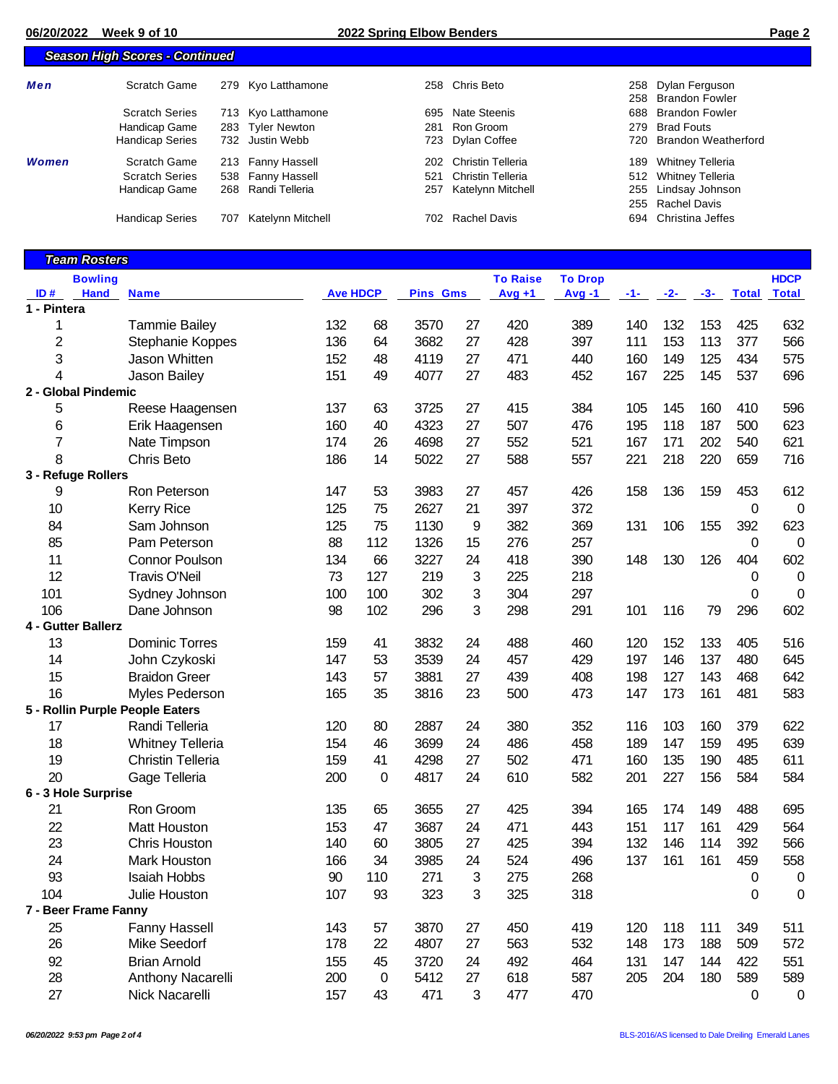## **06/20/2022 Week 9 of 10 2022 Spring Elbow Benders Page 2**

|       | <b>Season High Scores - Continued</b> |     |                    |      |                       |     |                                          |  |
|-------|---------------------------------------|-----|--------------------|------|-----------------------|-----|------------------------------------------|--|
| Men   | Scratch Game                          |     | 279 Kyo Latthamone |      | 258 Chris Beto        |     | 258 Dylan Ferguson<br>258 Brandon Fowler |  |
|       | <b>Scratch Series</b>                 |     | 713 Kyo Latthamone |      | 695 Nate Steenis      |     | 688 Brandon Fowler                       |  |
|       | Handicap Game                         |     | 283 Tyler Newton   | 281  | Ron Groom             |     | 279 Brad Fouts                           |  |
|       | <b>Handicap Series</b>                |     | 732 Justin Webb    |      | 723 Dylan Coffee      |     | 720 Brandon Weatherford                  |  |
| Women | Scratch Game                          |     | 213 Fanny Hassell  |      | 202 Christin Telleria |     | 189 Whitney Telleria                     |  |
|       | <b>Scratch Series</b>                 |     | 538 Fanny Hassell  | 521  | Christin Telleria     |     | 512 Whitney Telleria                     |  |
|       | Handicap Game                         |     | 268 Randi Telleria | 257  | Katelynn Mitchell     | 255 | Lindsay Johnson                          |  |
|       |                                       |     |                    |      |                       |     | 255 Rachel Davis                         |  |
|       | <b>Handicap Series</b>                | 707 | Katelynn Mitchell  | 702. | Rachel Davis          |     | 694 Christina Jeffes                     |  |

|             | <b>Team Rosters</b>  |                                 |                 |             |                 |    |                 |                |     |       |       |              |              |
|-------------|----------------------|---------------------------------|-----------------|-------------|-----------------|----|-----------------|----------------|-----|-------|-------|--------------|--------------|
|             | <b>Bowling</b>       |                                 |                 |             |                 |    | <b>To Raise</b> | <b>To Drop</b> |     |       |       |              | <b>HDCP</b>  |
| ID#         | <b>Hand</b>          | <b>Name</b>                     | <b>Ave HDCP</b> |             | <b>Pins Gms</b> |    | $Avg +1$        | $Avg -1$       | -1- | $-2-$ | $-3-$ | <b>Total</b> | <b>Total</b> |
| 1 - Pintera |                      |                                 |                 |             |                 |    |                 |                |     |       |       |              |              |
| 1           |                      | <b>Tammie Bailey</b>            | 132             | 68          | 3570            | 27 | 420             | 389            | 140 | 132   | 153   | 425          | 632          |
| 2           |                      | Stephanie Koppes                | 136             | 64          | 3682            | 27 | 428             | 397            | 111 | 153   | 113   | 377          | 566          |
| 3           |                      | Jason Whitten                   | 152             | 48          | 4119            | 27 | 471             | 440            | 160 | 149   | 125   | 434          | 575          |
| 4           |                      | Jason Bailey                    | 151             | 49          | 4077            | 27 | 483             | 452            | 167 | 225   | 145   | 537          | 696          |
|             | 2 - Global Pindemic  |                                 |                 |             |                 |    |                 |                |     |       |       |              |              |
| 5           |                      | Reese Haagensen                 | 137             | 63          | 3725            | 27 | 415             | 384            | 105 | 145   | 160   | 410          | 596          |
| 6           |                      | Erik Haagensen                  | 160             | 40          | 4323            | 27 | 507             | 476            | 195 | 118   | 187   | 500          | 623          |
| 7           |                      | Nate Timpson                    | 174             | 26          | 4698            | 27 | 552             | 521            | 167 | 171   | 202   | 540          | 621          |
| 8           |                      | Chris Beto                      | 186             | 14          | 5022            | 27 | 588             | 557            | 221 | 218   | 220   | 659          | 716          |
|             | 3 - Refuge Rollers   |                                 |                 |             |                 |    |                 |                |     |       |       |              |              |
| 9           |                      | Ron Peterson                    | 147             | 53          | 3983            | 27 | 457             | 426            | 158 | 136   | 159   | 453          | 612          |
| 10          |                      | <b>Kerry Rice</b>               | 125             | 75          | 2627            | 21 | 397             | 372            |     |       |       | 0            | $\mathbf 0$  |
| 84          |                      | Sam Johnson                     | 125             | 75          | 1130            | 9  | 382             | 369            | 131 | 106   | 155   | 392          | 623          |
| 85          |                      | Pam Peterson                    | 88              | 112         | 1326            | 15 | 276             | 257            |     |       |       | 0            | 0            |
| 11          |                      | <b>Connor Poulson</b>           | 134             | 66          | 3227            | 24 | 418             | 390            | 148 | 130   | 126   | 404          | 602          |
| 12          |                      | <b>Travis O'Neil</b>            | 73              | 127         | 219             | 3  | 225             | 218            |     |       |       | 0            | $\mathbf 0$  |
| 101         |                      | Sydney Johnson                  | 100             | 100         | 302             | 3  | 304             | 297            |     |       |       | 0            | $\mathbf 0$  |
| 106         |                      | Dane Johnson                    | 98              | 102         | 296             | 3  | 298             | 291            | 101 | 116   | 79    | 296          | 602          |
|             | 4 - Gutter Ballerz   |                                 |                 |             |                 |    |                 |                |     |       |       |              |              |
| 13          |                      | <b>Dominic Torres</b>           | 159             | 41          | 3832            | 24 | 488             | 460            | 120 | 152   | 133   | 405          | 516          |
| 14          |                      | John Czykoski                   | 147             | 53          | 3539            | 24 | 457             | 429            | 197 | 146   | 137   | 480          | 645          |
| 15          |                      | <b>Braidon Greer</b>            | 143             | 57          | 3881            | 27 | 439             | 408            | 198 | 127   | 143   | 468          | 642          |
| 16          |                      | Myles Pederson                  | 165             | 35          | 3816            | 23 | 500             | 473            | 147 | 173   | 161   | 481          | 583          |
|             |                      | 5 - Rollin Purple People Eaters |                 |             |                 |    |                 |                |     |       |       |              |              |
| 17          |                      | Randi Telleria                  | 120             | 80          | 2887            | 24 | 380             | 352            | 116 | 103   | 160   | 379          | 622          |
| 18          |                      | <b>Whitney Telleria</b>         | 154             | 46          | 3699            | 24 | 486             | 458            | 189 | 147   | 159   | 495          | 639          |
| 19          |                      | <b>Christin Telleria</b>        | 159             | 41          | 4298            | 27 | 502             | 471            | 160 | 135   | 190   | 485          | 611          |
| 20          |                      | Gage Telleria                   | 200             | 0           | 4817            | 24 | 610             | 582            | 201 | 227   | 156   | 584          | 584          |
|             | 6 - 3 Hole Surprise  |                                 |                 |             |                 |    |                 |                |     |       |       |              |              |
| 21          |                      | Ron Groom                       | 135             | 65          | 3655            | 27 | 425             | 394            | 165 | 174   | 149   | 488          | 695          |
| 22          |                      | Matt Houston                    | 153             | 47          | 3687            | 24 | 471             | 443            | 151 | 117   | 161   | 429          | 564          |
| 23          |                      | <b>Chris Houston</b>            | 140             | 60          | 3805            | 27 | 425             | 394            | 132 | 146   | 114   | 392          | 566          |
| 24          |                      | <b>Mark Houston</b>             | 166             | 34          | 3985            | 24 | 524             | 496            | 137 | 161   | 161   | 459          | 558          |
| 93          |                      | Isaiah Hobbs                    | 90              | 110         | 271             | 3  | 275             | 268            |     |       |       | 0            | 0            |
| 104         |                      | Julie Houston                   | 107             | 93          | 323             | 3  | 325             | 318            |     |       |       | 0            | $\mathbf 0$  |
|             | 7 - Beer Frame Fanny |                                 |                 |             |                 |    |                 |                |     |       |       |              |              |
| 25          |                      | <b>Fanny Hassell</b>            | 143             | 57          | 3870            | 27 | 450             | 419            | 120 | 118   | 111   | 349          | 511          |
| 26          |                      | Mike Seedorf                    | 178             | 22          | 4807            | 27 | 563             | 532            | 148 | 173   | 188   | 509          | 572          |
| 92          |                      | <b>Brian Arnold</b>             | 155             | 45          | 3720            | 24 | 492             | 464            | 131 | 147   | 144   | 422          | 551          |
| 28          |                      | Anthony Nacarelli               | 200             | $\mathbf 0$ | 5412            | 27 | 618             | 587            | 205 | 204   | 180   | 589          | 589          |
| 27          |                      | Nick Nacarelli                  | 157             | 43          | 471             | 3  | 477             | 470            |     |       |       | $\mathbf 0$  | $\mathbf 0$  |
|             |                      |                                 |                 |             |                 |    |                 |                |     |       |       |              |              |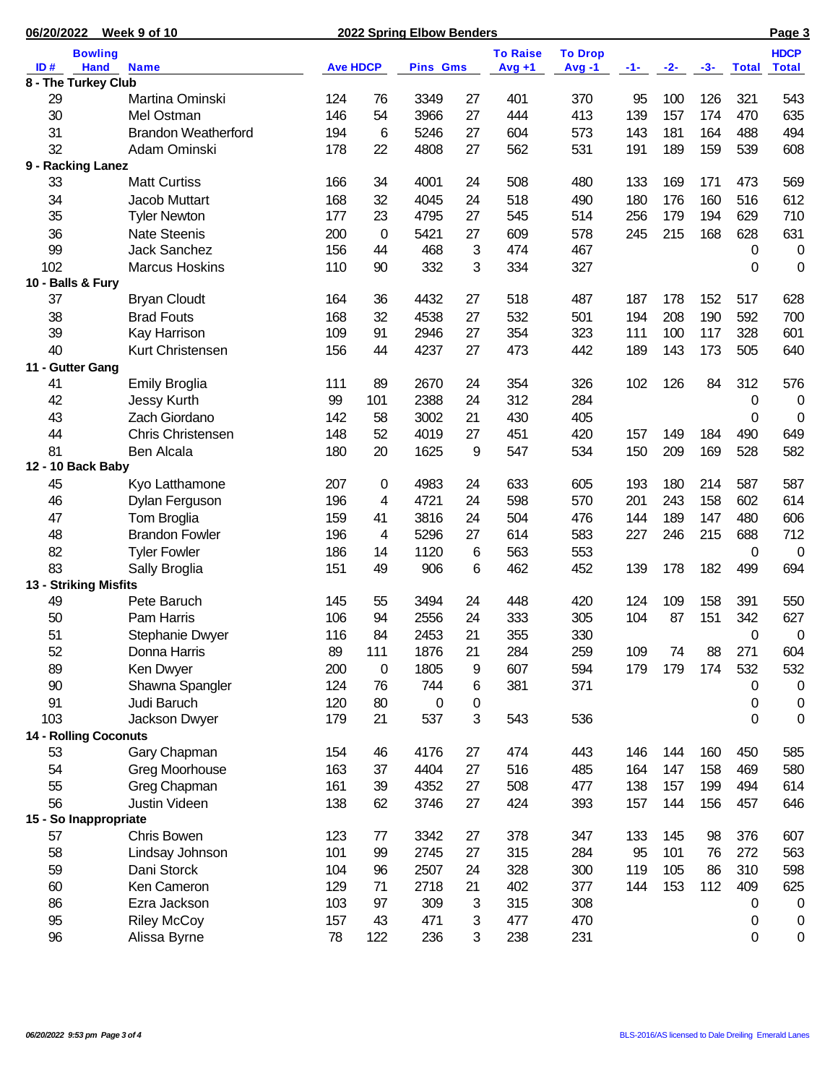| 06/20/2022            | Week 9 of 10                 |                 |                 | 2022 Spring Elbow Benders |    |                 |                |     |       |       |              | Page 3         |
|-----------------------|------------------------------|-----------------|-----------------|---------------------------|----|-----------------|----------------|-----|-------|-------|--------------|----------------|
|                       | <b>Bowling</b>               |                 |                 |                           |    | <b>To Raise</b> | <b>To Drop</b> |     |       |       |              | <b>HDCP</b>    |
| ID#                   | <b>Hand</b><br><b>Name</b>   | <b>Ave HDCP</b> |                 | <b>Pins Gms</b>           |    | $Avg +1$        | Avg-1          | -1- | $-2-$ | $-3-$ | <b>Total</b> | <b>Total</b>   |
| 8 - The Turkey Club   |                              |                 |                 |                           |    |                 |                |     |       |       |              |                |
| 29                    | Martina Ominski              | 124             | 76              | 3349                      | 27 | 401             | 370            | 95  | 100   | 126   | 321          | 543            |
| 30                    | Mel Ostman                   | 146             | 54              | 3966                      | 27 | 444             | 413            | 139 | 157   | 174   | 470          | 635            |
| 31                    | <b>Brandon Weatherford</b>   | 194             | $6\phantom{1}6$ | 5246                      | 27 | 604             | 573            | 143 | 181   | 164   | 488          | 494            |
| 32                    | Adam Ominski                 | 178             | 22              | 4808                      | 27 | 562             | 531            | 191 | 189   | 159   | 539          | 608            |
| 9 - Racking Lanez     |                              |                 |                 |                           |    |                 |                |     |       |       |              |                |
| 33                    | <b>Matt Curtiss</b>          | 166             | 34              | 4001                      | 24 | 508             | 480            | 133 | 169   | 171   | 473          | 569            |
| 34                    | Jacob Muttart                | 168             | 32              | 4045                      | 24 | 518             | 490            | 180 | 176   | 160   | 516          | 612            |
| 35                    | <b>Tyler Newton</b>          | 177             | 23              | 4795                      | 27 | 545             | 514            | 256 | 179   | 194   | 629          | 710            |
| 36                    | <b>Nate Steenis</b>          | 200             | $\mathbf 0$     | 5421                      | 27 | 609             | 578            | 245 | 215   | 168   | 628          | 631            |
| 99                    | <b>Jack Sanchez</b>          | 156             | 44              | 468                       | 3  | 474             | 467            |     |       |       | 0            | $\pmb{0}$      |
| 102                   | <b>Marcus Hoskins</b>        | 110             | 90              | 332                       | 3  | 334             | 327            |     |       |       | 0            | $\mathbf 0$    |
| 10 - Balls & Fury     |                              |                 |                 |                           |    |                 |                |     |       |       |              |                |
| 37                    | <b>Bryan Cloudt</b>          | 164             | 36              | 4432                      | 27 | 518             | 487            | 187 | 178   | 152   | 517          | 628            |
| 38                    | <b>Brad Fouts</b>            | 168             | 32              | 4538                      | 27 | 532             | 501            | 194 | 208   | 190   | 592          | 700            |
| 39                    | Kay Harrison                 | 109             | 91              | 2946                      | 27 | 354             | 323            | 111 | 100   | 117   | 328          | 601            |
| 40                    | Kurt Christensen             | 156             | 44              | 4237                      | 27 | 473             | 442            | 189 | 143   | 173   | 505          | 640            |
| 11 - Gutter Gang      |                              |                 |                 |                           |    |                 |                |     |       |       |              |                |
| 41                    | <b>Emily Broglia</b>         | 111             | 89              | 2670                      | 24 | 354             | 326            | 102 | 126   | 84    | 312          | 576            |
| 42                    | Jessy Kurth                  | 99              | 101             | 2388                      | 24 | 312             | 284            |     |       |       | 0            | $\overline{0}$ |
| 43                    | Zach Giordano                | 142             | 58              | 3002                      | 21 | 430             | 405            |     |       |       | 0            | $\mathbf 0$    |
| 44                    | <b>Chris Christensen</b>     | 148             | 52              | 4019                      | 27 | 451             | 420            | 157 | 149   | 184   | 490          | 649            |
| 81                    | Ben Alcala                   | 180             | 20              | 1625                      | 9  | 547             | 534            | 150 | 209   | 169   | 528          | 582            |
| 12 - 10 Back Baby     |                              |                 |                 |                           |    |                 |                |     |       |       |              |                |
| 45                    | Kyo Latthamone               | 207             | 0               | 4983                      | 24 | 633             | 605            | 193 | 180   | 214   | 587          | 587            |
| 46                    | Dylan Ferguson               | 196             | 4               | 4721                      | 24 | 598             | 570            | 201 | 243   | 158   | 602          | 614            |
| 47                    | Tom Broglia                  | 159             | 41              | 3816                      | 24 | 504             | 476            | 144 | 189   | 147   | 480          | 606            |
| 48                    | <b>Brandon Fowler</b>        | 196             | 4               | 5296                      | 27 | 614             | 583            | 227 | 246   | 215   | 688          | 712            |
| 82                    | <b>Tyler Fowler</b>          | 186             | 14              | 1120                      | 6  | 563             | 553            |     |       |       | 0            | $\overline{0}$ |
| 83                    | Sally Broglia                | 151             | 49              | 906                       | 6  | 462             | 452            | 139 | 178   | 182   | 499          | 694            |
| 13 - Striking Misfits |                              |                 |                 |                           |    |                 |                |     |       |       |              |                |
| 49                    | Pete Baruch                  | 145             | 55              | 3494                      | 24 | 448             | 420            | 124 | 109   | 158   | 391          | 550            |
| 50                    | Pam Harris                   | 106             | 94              | 2556                      | 24 | 333             | 305            | 104 | 87    | 151   | 342          | 627            |
| 51                    | Stephanie Dwyer              | 116             | 84              | 2453                      | 21 | 355             | 330            |     |       |       | 0            | 0              |
| 52                    | Donna Harris                 | 89              | 111             | 1876                      | 21 | 284             | 259            | 109 | 74    | 88    | 271          | 604            |
| 89                    | Ken Dwyer                    | 200             | $\mathbf 0$     | 1805                      | 9  | 607             | 594            | 179 | 179   | 174   | 532          | 532            |
| 90                    | Shawna Spangler              | 124             | 76              | 744                       | 6  | 381             | 371            |     |       |       | $\mathbf 0$  | 0              |
| 91                    | Judi Baruch                  | 120             | 80              | $\mathbf 0$               | 0  |                 |                |     |       |       | 0            | 0              |
| 103                   | Jackson Dwyer                | 179             | 21              | 537                       | 3  | 543             | 536            |     |       |       | 0            | 0              |
|                       | <b>14 - Rolling Coconuts</b> |                 |                 |                           |    |                 |                |     |       |       |              |                |
| 53                    | Gary Chapman                 | 154             | 46              | 4176                      | 27 | 474             | 443            | 146 | 144   | 160   | 450          | 585            |
| 54                    | Greg Moorhouse               | 163             | 37              | 4404                      | 27 | 516             | 485            | 164 | 147   | 158   | 469          | 580            |
| 55                    | Greg Chapman                 | 161             | 39              | 4352                      | 27 | 508             | 477            | 138 | 157   | 199   | 494          | 614            |
| 56                    | Justin Videen                | 138             | 62              | 3746                      | 27 | 424             | 393            | 157 | 144   | 156   | 457          | 646            |
|                       | 15 - So Inappropriate        |                 |                 |                           |    |                 |                |     |       |       |              |                |
| 57                    | Chris Bowen                  | 123             | 77              | 3342                      | 27 | 378             | 347            | 133 | 145   | 98    | 376          | 607            |
| 58                    | Lindsay Johnson              | 101             | 99              | 2745                      | 27 | 315             | 284            | 95  | 101   | 76    | 272          | 563            |
| 59                    | Dani Storck                  | 104             | 96              | 2507                      | 24 | 328             | 300            | 119 | 105   | 86    | 310          | 598            |
| 60                    | Ken Cameron                  | 129             | 71              | 2718                      | 21 | 402             | 377            | 144 | 153   | 112   | 409          | 625            |
| 86                    | Ezra Jackson                 | 103             | 97              | 309                       | 3  | 315             | 308            |     |       |       | 0            | $\mathbf 0$    |
| 95                    | <b>Riley McCoy</b>           | 157             | 43              | 471                       | 3  | 477             | 470            |     |       |       | 0            | $\mathbf 0$    |
| 96                    | Alissa Byrne                 | 78              | 122             | 236                       | 3  | 238             | 231            |     |       |       | 0            | 0              |